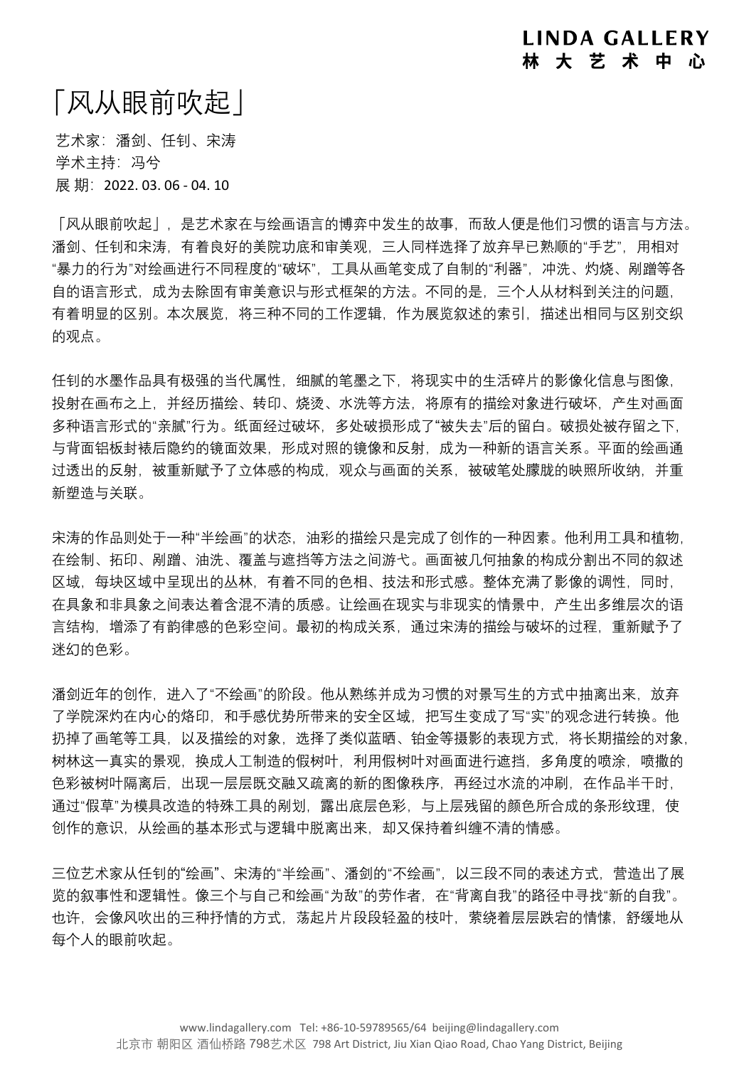## 「风从眼前吹起」

艺术家:潘剑、任钊、宋涛 学术主持: 冯兮 展期: 2022. 03. 06 - 04. 10

「风从眼前吹起」,是艺术家在与绘画语言的博弈中发生的故事,而敌人便是他们习惯的语言与方法。 潘剑、任钊和宋涛,有着良好的美院功底和审美观,三人同样选择了放弃早已熟顺的"手艺",用相对 "暴力的行为"对绘画进行不同程度的"破坏",工具从画笔变成了自制的"利器",冲洗、灼烧、剐蹭等各 自的语言形式,成为去除固有审美意识与形式框架的方法。不同的是,三个人从材料到关注的问题, 有着明显的区别。本次展览,将三种不同的工作逻辑,作为展览叙述的索引,描述出相同与区别交织 的观点。

任钊的水墨作品具有极强的当代属性,细腻的笔墨之下,将现实中的生活碎片的影像化信息与图像, 投射在画布之上,并经历描绘、转印、烧烫、水洗等方法,将原有的描绘对象进行破坏,产生对画面 多种语言形式的"亲腻"行为。纸面经过破坏,多处破损形成了"被失去"后的留白。破损处被存留之下, 与背面铝板封裱后隐约的镜面效果,形成对照的镜像和反射,成为一种新的语言关系。平面的绘画通 过透出的反射,被重新赋予了立体感的构成,观众与画面的关系,被破笔处朦胧的映照所收纳,并重 新塑造与关联。

宋涛的作品则处于一种"半绘画"的状态,油彩的描绘只是完成了创作的一种因素。他利用工具和植物, 在绘制、拓印、剐蹭、油洗、覆盖与遮挡等方法之间游弋。画面被几何抽象的构成分割出不同的叙述 区域,每块区域中呈现出的丛林,有着不同的色相、技法和形式感。整体充满了影像的调性,同时, 在具象和非具象之间表达着含混不清的质感。让绘画在现实与非现实的情景中,产生出多维层次的语 言结构,增添了有韵律感的色彩空间。最初的构成关系,通过宋涛的描绘与破坏的过程,重新赋予了 迷幻的色彩。

潘剑近年的创作,进入了"不绘画"的阶段。他从熟练并成为习惯的对景写生的方式中抽离出来,放弃 了学院深灼在内心的烙印,和手感优势所带来的安全区域,把写生变成了写"实"的观念进行转换。他 扔掉了画笔等工具,以及描绘的对象,选择了类似蓝晒、铂金等摄影的表现方式,将长期描绘的对象, 树林这一真实的景观,换成人工制造的假树叶,利用假树叶对画面进行遮挡,多角度的喷涂,喷撒的 色彩被树叶隔离后,出现一层层既交融又疏离的新的图像秩序,再经过水流的冲刷,在作品半干时, 通过"假草"为模具改造的特殊工具的剐划,露出底层色彩,与上层残留的颜色所合成的条形纹理,使 创作的意识,从绘画的基本形式与逻辑中脱离出来,却又保持着纠缠不清的情感。

三位艺术家从任钊的"绘画"、宋涛的"半绘画"、潘剑的"不绘画",以三段不同的表述方式,营造出了展 览的叙事性和逻辑性。像三个与自己和绘画"为敌"的劳作者,在"背离自我"的路径中寻找"新的自我"。 也许,会像风吹出的三种抒情的方式,荡起片片段段轻盈的枝叶,萦绕着层层跌宕的情愫,舒缓地从 每个人的眼前吹起。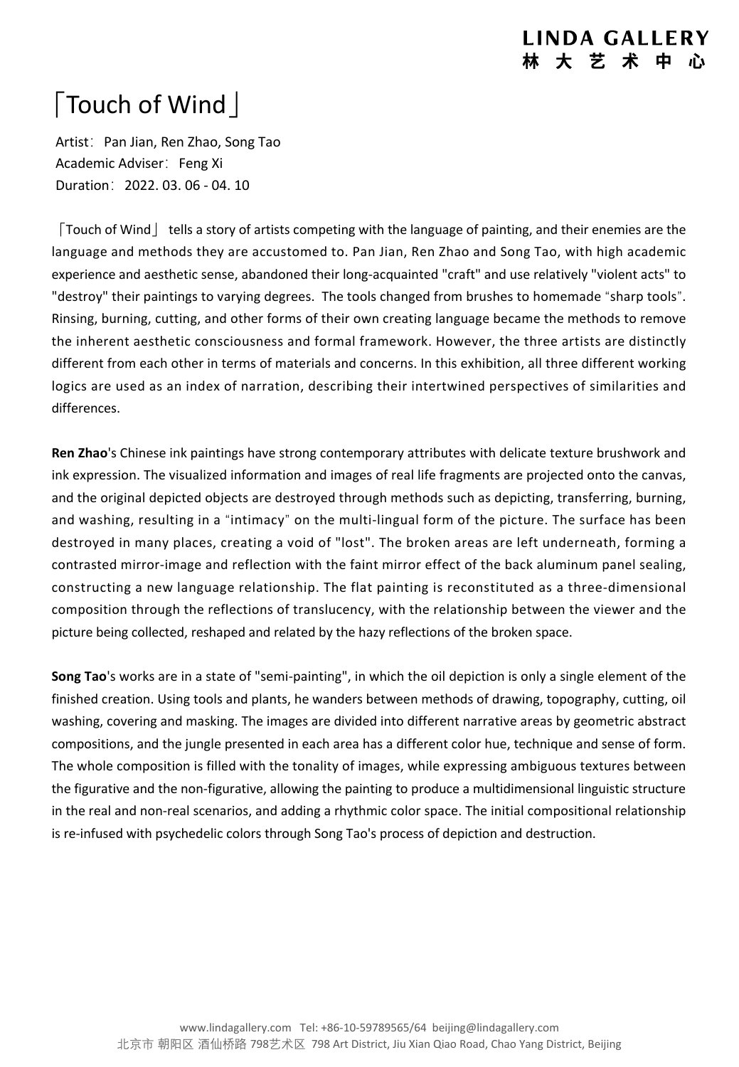## **LINDA GALLERY 林 大 艺 术 中**

## 「Touch of Wind」

Artist: Pan Jian, Ren Zhao, Song Tao Academic Adviser: Feng Xi Duration:2022. 03. 06 - 04. 10

「Touch of Wind」 tells a story of artists competing with the language of painting, and their enemies are the language and methods they are accustomed to. Pan Jian, Ren Zhao and Song Tao, with high academic experience and aesthetic sense, abandoned their long-acquainted "craft" and use relatively "violent acts" to "destroy" their paintings to varying degrees. The tools changed from brushes to homemade "sharp tools". Rinsing, burning, cutting, and other forms of their own creating language became the methods to remove the inherent aesthetic consciousness and formal framework. However, the three artists are distinctly different from each other in terms of materials and concerns. In this exhibition, all three different working logics are used as an index of narration, describing their intertwined perspectives of similarities and differences.

**Ren Zhao**'s Chinese ink paintings have strong contemporary attributes with delicate texture brushwork and ink expression. The visualized information and images of real life fragments are projected onto the canvas, and the original depicted objects are destroyed through methods such as depicting, transferring, burning, and washing, resulting in a "intimacy" on the multi-lingual form of the picture. The surface has been destroyed in many places, creating a void of "lost". The broken areas are left underneath, forming a contrasted mirror-image and reflection with the faint mirror effect of the back aluminum panel sealing, constructing a new language relationship. The flat painting is reconstituted as a three-dimensional composition through the reflections of translucency, with the relationship between the viewer and the picture being collected, reshaped and related by the hazy reflections of the broken space.

**Song Tao**'s works are in a state of "semi-painting", in which the oil depiction is only a single element of the finished creation. Using tools and plants, he wanders between methods of drawing, topography, cutting, oil washing, covering and masking. The images are divided into different narrative areas by geometric abstract compositions, and the jungle presented in each area has a different color hue, technique and sense of form. The whole composition is filled with the tonality of images, while expressing ambiguous textures between the figurative and the non-figurative, allowing the painting to produce a multidimensional linguistic structure in the real and non-real scenarios, and adding a rhythmic color space. The initial compositional relationship is re-infused with psychedelic colors through Song Tao's process of depiction and destruction.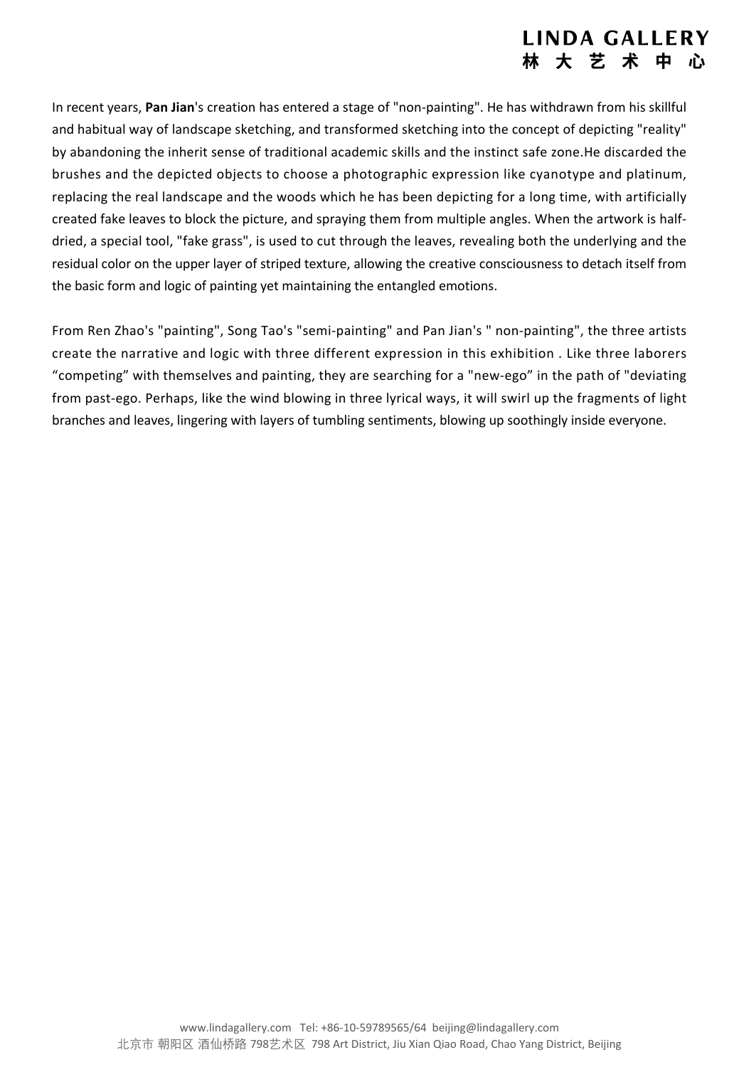## **LINDA GALLERY 林 大 艺 术 中**

In recent years, **Pan Jian**'s creation has entered a stage of"non-painting". He has withdrawn from his skillful and habitual way of landscape sketching, and transformed sketching into the concept of depicting "reality" by abandoning the inherit sense of traditional academic skills and the instinct safe zone.He discarded the brushes and the depicted objects to choose a photographic expression like cyanotype and platinum, replacing the real landscape and the woods which he has been depicting for a long time, with artificially created fake leaves to block the picture, and spraying them from multiple angles. When the artwork is half dried, a special tool, "fake grass", is used to cut through the leaves, revealing both the underlying and the residual color on the upper layer of striped texture, allowing the creative consciousness to detach itself from the basic form and logic of painting yet maintaining the entangled emotions.

From Ren Zhao's "painting", Song Tao's "semi-painting" and Pan Jian's" non-painting", the three artists create the narrative and logic with three different expression in this exhibition . Like three laborers "competing" with themselves and painting, they are searching for a "new-ego" in the path of "deviating from past-ego. Perhaps, like the wind blowing in three lyrical ways, it will swirl up the fragments of light branches and leaves, lingering with layers of tumbling sentiments, blowing up soothingly inside everyone.